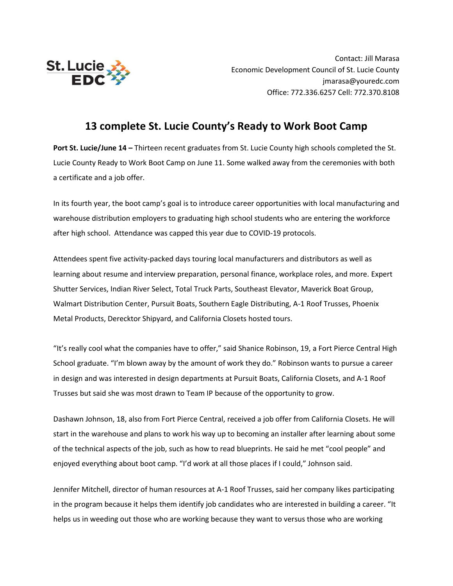

Contact: Jill Marasa Economic Development Council of St. Lucie County jmarasa@youredc.com Office: 772.336.6257 Cell: 772.370.8108

## **13 complete St. Lucie County's Ready to Work Boot Camp**

**Port St. Lucie/June 14 –** Thirteen recent graduates from St. Lucie County high schools completed the St. Lucie County Ready to Work Boot Camp on June 11. Some walked away from the ceremonies with both a certificate and a job offer.

In its fourth year, the boot camp's goal is to introduce career opportunities with local manufacturing and warehouse distribution employers to graduating high school students who are entering the workforce after high school. Attendance was capped this year due to COVID-19 protocols.

Attendees spent five activity-packed days touring local manufacturers and distributors as well as learning about resume and interview preparation, personal finance, workplace roles, and more. Expert Shutter Services, Indian River Select, Total Truck Parts, Southeast Elevator, Maverick Boat Group, Walmart Distribution Center, Pursuit Boats, Southern Eagle Distributing, A-1 Roof Trusses, Phoenix Metal Products, Derecktor Shipyard, and California Closets hosted tours.

"It's really cool what the companies have to offer," said Shanice Robinson, 19, a Fort Pierce Central High School graduate. "I'm blown away by the amount of work they do." Robinson wants to pursue a career in design and was interested in design departments at Pursuit Boats, California Closets, and A-1 Roof Trusses but said she was most drawn to Team IP because of the opportunity to grow.

Dashawn Johnson, 18, also from Fort Pierce Central, received a job offer from California Closets. He will start in the warehouse and plans to work his way up to becoming an installer after learning about some of the technical aspects of the job, such as how to read blueprints. He said he met "cool people" and enjoyed everything about boot camp. "I'd work at all those places if I could," Johnson said.

Jennifer Mitchell, director of human resources at A-1 Roof Trusses, said her company likes participating in the program because it helps them identify job candidates who are interested in building a career. "It helps us in weeding out those who are working because they want to versus those who are working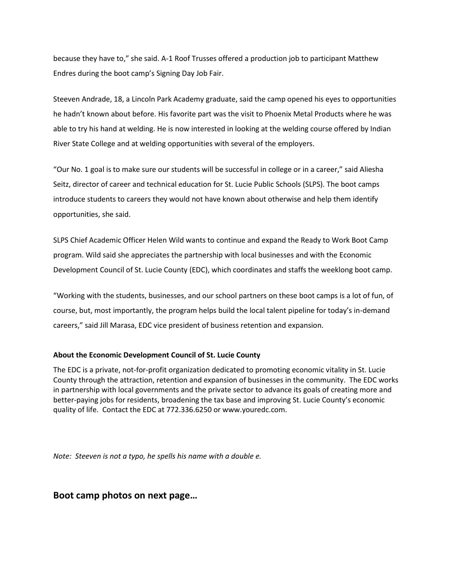because they have to," she said. A-1 Roof Trusses offered a production job to participant Matthew Endres during the boot camp's Signing Day Job Fair.

Steeven Andrade, 18, a Lincoln Park Academy graduate, said the camp opened his eyes to opportunities he hadn't known about before. His favorite part was the visit to Phoenix Metal Products where he was able to try his hand at welding. He is now interested in looking at the welding course offered by Indian River State College and at welding opportunities with several of the employers.

"Our No. 1 goal is to make sure our students will be successful in college or in a career," said Aliesha Seitz, director of career and technical education for St. Lucie Public Schools (SLPS). The boot camps introduce students to careers they would not have known about otherwise and help them identify opportunities, she said.

SLPS Chief Academic Officer Helen Wild wants to continue and expand the Ready to Work Boot Camp program. Wild said she appreciates the partnership with local businesses and with the Economic Development Council of St. Lucie County (EDC), which coordinates and staffs the weeklong boot camp.

"Working with the students, businesses, and our school partners on these boot camps is a lot of fun, of course, but, most importantly, the program helps build the local talent pipeline for today's in-demand careers," said Jill Marasa, EDC vice president of business retention and expansion.

## **About the Economic Development Council of St. Lucie County**

The EDC is a private, not-for-profit organization dedicated to promoting economic vitality in St. Lucie County through the attraction, retention and expansion of businesses in the community. The EDC works in partnership with local governments and the private sector to advance its goals of creating more and better-paying jobs for residents, broadening the tax base and improving St. Lucie County's economic quality of life. Contact the EDC at 772.336.6250 or www.youredc.com.

*Note: Steeven is not a typo, he spells his name with a double e.*

## **Boot camp photos on next page…**